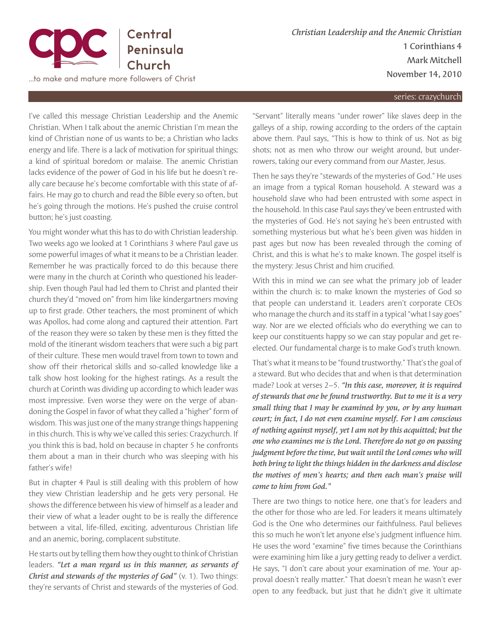

*Christian Leadership and the Anemic Christian* 1 Corinthians 4 Mark Mitchell November 14, 2010

series: crazychurch

I've called this message Christian Leadership and the Anemic Christian. When I talk about the anemic Christian I'm mean the kind of Christian none of us wants to be; a Christian who lacks energy and life. There is a lack of motivation for spiritual things; a kind of spiritual boredom or malaise. The anemic Christian lacks evidence of the power of God in his life but he doesn't really care because he's become comfortable with this state of affairs. He may go to church and read the Bible every so often, but he's going through the motions. He's pushed the cruise control button; he's just coasting.

You might wonder what this has to do with Christian leadership. Two weeks ago we looked at 1 Corinthians 3 where Paul gave us some powerful images of what it means to be a Christian leader. Remember he was practically forced to do this because there were many in the church at Corinth who questioned his leadership. Even though Paul had led them to Christ and planted their church they'd "moved on" from him like kindergartners moving up to first grade. Other teachers, the most prominent of which was Apollos, had come along and captured their attention. Part of the reason they were so taken by these men is they fitted the mold of the itinerant wisdom teachers that were such a big part of their culture. These men would travel from town to town and show off their rhetorical skills and so-called knowledge like a talk show host looking for the highest ratings. As a result the church at Corinth was dividing up according to which leader was most impressive. Even worse they were on the verge of abandoning the Gospel in favor of what they called a "higher" form of wisdom. This was just one of the many strange things happening in this church. This is why we've called this series: Crazychurch. If you think this is bad, hold on because in chapter 5 he confronts them about a man in their church who was sleeping with his father's wife!

But in chapter 4 Paul is still dealing with this problem of how they view Christian leadership and he gets very personal. He shows the difference between his view of himself as a leader and their view of what a leader ought to be is really the difference between a vital, life-filled, exciting, adventurous Christian life and an anemic, boring, complacent substitute.

He starts out by telling them how they ought to think of Christian leaders. *"Let a man regard us in this manner, as servants of Christ and stewards of the mysteries of God"* (v. 1). Two things: they're servants of Christ and stewards of the mysteries of God.

"Servant" literally means "under rower" like slaves deep in the galleys of a ship, rowing according to the orders of the captain above them. Paul says, "This is how to think of us. Not as big shots; not as men who throw our weight around, but underrowers, taking our every command from our Master, Jesus.

Then he says they're "stewards of the mysteries of God." He uses an image from a typical Roman household. A steward was a household slave who had been entrusted with some aspect in the household. In this case Paul says they've been entrusted with the mysteries of God. He's not saying he's been entrusted with something mysterious but what he's been given was hidden in past ages but now has been revealed through the coming of Christ, and this is what he's to make known. The gospel itself is the mystery: Jesus Christ and him crucified.

With this in mind we can see what the primary job of leader within the church is: to make known the mysteries of God so that people can understand it. Leaders aren't corporate CEOs who manage the church and its staff in a typical "what I say goes" way. Nor are we elected officials who do everything we can to keep our constituents happy so we can stay popular and get reelected. Our fundamental charge is to make God's truth known.

That's what it means to be "found trustworthy." That's the goal of a steward. But who decides that and when is that determination made? Look at verses 2–5. *"In this case, moreover, it is required of stewards that one be found trustworthy. But to me it is a very small thing that I may be examined by you, or by any human court; in fact, I do not even examine myself. For I am conscious of nothing against myself, yet I am not by this acquitted; but the one who examines me is the Lord. Therefore do not go on passing judgment before the time, but wait until the Lord comes who will both bring to light the things hidden in the darkness and disclose the motives of men's hearts; and then each man's praise will come to him from God."*

There are two things to notice here, one that's for leaders and the other for those who are led. For leaders it means ultimately God is the One who determines our faithfulness. Paul believes this so much he won't let anyone else's judgment influence him. He uses the word "examine" five times because the Corinthians were examining him like a jury getting ready to deliver a verdict. He says, "I don't care about your examination of me. Your approval doesn't really matter." That doesn't mean he wasn't ever open to any feedback, but just that he didn't give it ultimate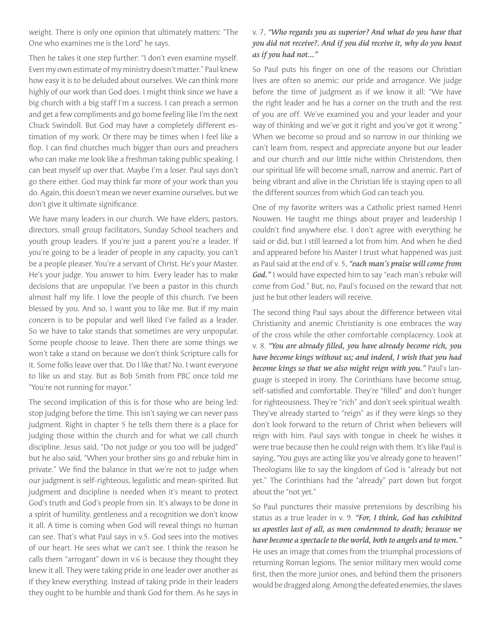weight. There is only one opinion that ultimately matters: "The One who examines me is the Lord" he says.

Then he takes it one step further: "I don't even examine myself. Even my own estimate of my ministry doesn't matter." Paul knew how easy it is to be deluded about ourselves. We can think more highly of our work than God does. I might think since we have a big church with a big staff I'm a success. I can preach a sermon and get a few compliments and go home feeling like I'm the next Chuck Swindoll. But God may have a completely different estimation of my work. Or there may be times when I feel like a flop. I can find churches much bigger than ours and preachers who can make me look like a freshman taking public speaking. I can beat myself up over that. Maybe I'm a loser. Paul says don't go there either. God may think far more of your work than you do. Again, this doesn't mean we never examine ourselves, but we don't give it ultimate significance.

We have many leaders in our church. We have elders, pastors, directors, small group facilitators, Sunday School teachers and youth group leaders. If you're just a parent you're a leader. If you're going to be a leader of people in any capacity, you can't be a people pleaser. You're a servant of Christ. He's your Master. He's your judge. You answer to him. Every leader has to make decisions that are unpopular. I've been a pastor in this church almost half my life. I love the people of this church. I've been blessed by you. And so, I want you to like me. But if my main concern is to be popular and well liked I've failed as a leader. So we have to take stands that sometimes are very unpopular. Some people choose to leave. Then there are some things we won't take a stand on because we don't think Scripture calls for it. Some folks leave over that. Do I like that? No. I want everyone to like us and stay. But as Bob Smith from PBC once told me "You're not running for mayor."

The second implication of this is for those who are being led: stop judging before the time. This isn't saying we can never pass judgment. Right in chapter 5 he tells them there is a place for judging those within the church and for what we call church discipline. Jesus said, "Do not judge or you too will be judged" but he also said, "When your brother sins go and rebuke him in private." We find the balance in that we're not to judge when our judgment is self-righteous, legalistic and mean-spirited. But judgment and discipline is needed when it's meant to protect God's truth and God's people from sin. It's always to be done in a spirit of humility, gentleness and a recognition we don't know it all. A time is coming when God will reveal things no human can see. That's what Paul says in v.5. God sees into the motives of our heart. He sees what we can't see. I think the reason he calls them "arrogant" down in v.6 is because they thought they knew it all. They were taking pride in one leader over another as if they knew everything. Instead of taking pride in their leaders they ought to be humble and thank God for them. As he says in

## v. 7, *"Who regards you as superior? And what do you have that you did not receive?. And if you did receive it, why do you boast as if you had not..."*

So Paul puts his finger on one of the reasons our Christian lives are often so anemic: our pride and arrogance. We judge before the time of judgment as if we know it all: "We have the right leader and he has a corner on the truth and the rest of you are off. We've examined you and your leader and your way of thinking and we've got it right and you've got it wrong." When we become so proud and so narrow in our thinking we can't learn from, respect and appreciate anyone but our leader and our church and our little niche within Christendom, then our spiritual life will become small, narrow and anemic. Part of being vibrant and alive in the Christian life is staying open to all the different sources from which God can teach you.

One of my favorite writers was a Catholic priest named Henri Nouwen. He taught me things about prayer and leadership I couldn't find anywhere else. I don't agree with everything he said or did, but I still learned a lot from him. And when he died and appeared before his Master I trust what happened was just as Paul said at the end of v. 5, *"each man's praise will come from God."* I would have expected him to say "each man's rebuke will come from God." But, no, Paul's focused on the reward that not just he but other leaders will receive.

The second thing Paul says about the difference between vital Christianity and anemic Christianity is one embraces the way of the cross while the other comfortable complacency. Look at v. 8. *"You are already filled, you have already become rich, you have become kings without us; and indeed, I wish that you had become kings so that we also might reign with you."* Paul's language is steeped in irony. The Corinthians have become smug, self-satisfied and comfortable. They're "filled" and don't hunger for righteousness. They're "rich" and don't seek spiritual wealth. They've already started to "reign" as if they were kings so they don't look forward to the return of Christ when believers will reign with him. Paul says with tongue in cheek he wishes it were true because then he could reign with them. It's like Paul is saying, "You guys are acting like you've already gone to heaven!" Theologians like to say the kingdom of God is "already but not yet." The Corinthians had the "already" part down but forgot about the "not yet."

So Paul punctures their massive pretensions by describing his status as a true leader in v. 9. *"For, I think, God has exhibited us apostles last of all, as men condemned to death; because we have become a spectacle to the world, both to angels and to men."*  He uses an image that comes from the triumphal processions of returning Roman legions. The senior military men would come first, then the more junior ones, and behind them the prisoners would be dragged along. Among the defeated enemies, the slaves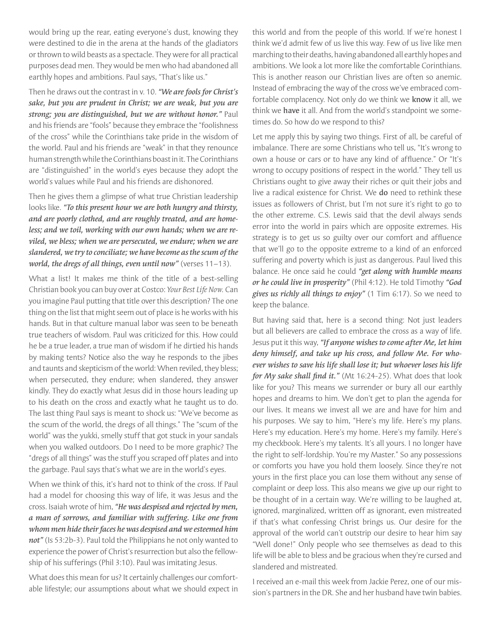would bring up the rear, eating everyone's dust, knowing they were destined to die in the arena at the hands of the gladiators or thrown to wild beasts as a spectacle. They were for all practical purposes dead men. They would be men who had abandoned all earthly hopes and ambitions. Paul says, "That's like us."

Then he draws out the contrast in v. 10. *"We are fools for Christ's sake, but you are prudent in Christ; we are weak, but you are strong; you are distinguished, but we are without honor."* Paul and his friends are "fools" because they embrace the "foolishness of the cross" while the Corinthians take pride in the wisdom of the world. Paul and his friends are "weak" in that they renounce human strength while the Corinthians boast in it. The Corinthians are "distinguished" in the world's eyes because they adopt the world's values while Paul and his friends are dishonored.

Then he gives them a glimpse of what true Christian leadership looks like. *"To this present hour we are both hungry and thirsty, and are poorly clothed, and are roughly treated, and are homeless; and we toil, working with our own hands; when we are reviled, we bless; when we are persecuted, we endure; when we are slandered, we try to conciliate; we have become as the scum of the world, the dregs of all things, even until now"* (verses 11–13).

What a list! It makes me think of the title of a best-selling Christian book you can buy over at Costco: *Your Best Life Now.* Can you imagine Paul putting that title over this description? The one thing on the list that might seem out of place is he works with his hands. But in that culture manual labor was seen to be beneath true teachers of wisdom. Paul was criticized for this. How could he be a true leader, a true man of wisdom if he dirtied his hands by making tents? Notice also the way he responds to the jibes and taunts and skepticism of the world: When reviled, they bless; when persecuted, they endure; when slandered, they answer kindly. They do exactly what Jesus did in those hours leading up to his death on the cross and exactly what he taught us to do. The last thing Paul says is meant to shock us: "We've become as the scum of the world, the dregs of all things." The "scum of the world" was the yukki, smelly stuff that got stuck in your sandals when you walked outdoors. Do I need to be more graphic? The "dregs of all things" was the stuff you scraped off plates and into the garbage. Paul says that's what we are in the world's eyes.

When we think of this, it's hard not to think of the cross. If Paul had a model for choosing this way of life, it was Jesus and the cross. Isaiah wrote of him, *"He was despised and rejected by men, a man of sorrows, and familiar with suffering. Like one from whom men hide their faces he was despised and we esteemed him*  not" (Is 53:2b-3). Paul told the Philippians he not only wanted to experience the power of Christ's resurrection but also the fellowship of his sufferings (Phil 3:10). Paul was imitating Jesus.

What does this mean for us? It certainly challenges our comfortable lifestyle; our assumptions about what we should expect in this world and from the people of this world. If we're honest I think we'd admit few of us live this way. Few of us live like men marching to their deaths, having abandoned all earthly hopes and ambitions. We look a lot more like the comfortable Corinthians. This is another reason our Christian lives are often so anemic. Instead of embracing the way of the cross we've embraced comfortable complacency. Not only do we think we know it all, we think we have it all. And from the world's standpoint we sometimes do. So how do we respond to this?

Let me apply this by saying two things. First of all, be careful of imbalance. There are some Christians who tell us, "It's wrong to own a house or cars or to have any kind of affluence." Or "It's wrong to occupy positions of respect in the world." They tell us Christians ought to give away their riches or quit their jobs and live a radical existence for Christ. We do need to rethink these issues as followers of Christ, but I'm not sure it's right to go to the other extreme. C.S. Lewis said that the devil always sends error into the world in pairs which are opposite extremes. His strategy is to get us so guilty over our comfort and affluence that we'll go to the opposite extreme to a kind of an enforced suffering and poverty which is just as dangerous. Paul lived this balance. He once said he could *"get along with humble means or he could live in prosperity"* (Phil 4:12). He told Timothy *"God gives us richly all things to enjoy"* (1 Tim 6:17). So we need to keep the balance.

But having said that, here is a second thing: Not just leaders but all believers are called to embrace the cross as a way of life. Jesus put it this way, *"If anyone wishes to come after Me, let him deny himself, and take up his cross, and follow Me. For whoever wishes to save his life shall lose it; but whoever loses his life for My sake shall find it."* (Mt 16:24-25). What does that look like for you? This means we surrender or bury all our earthly hopes and dreams to him. We don't get to plan the agenda for our lives. It means we invest all we are and have for him and his purposes. We say to him, "Here's my life. Here's my plans. Here's my education. Here's my home. Here's my family. Here's my checkbook. Here's my talents. It's all yours. I no longer have the right to self-lordship. You're my Master." So any possessions or comforts you have you hold them loosely. Since they're not yours in the first place you can lose them without any sense of complaint or deep loss. This also means we give up our right to be thought of in a certain way. We're willing to be laughed at, ignored, marginalized, written off as ignorant, even mistreated if that's what confessing Christ brings us. Our desire for the approval of the world can't outstrip our desire to hear him say "Well done!" Only people who see themselves as dead to this life will be able to bless and be gracious when they're cursed and slandered and mistreated.

I received an e-mail this week from Jackie Perez, one of our mission's partners in the DR. She and her husband have twin babies.